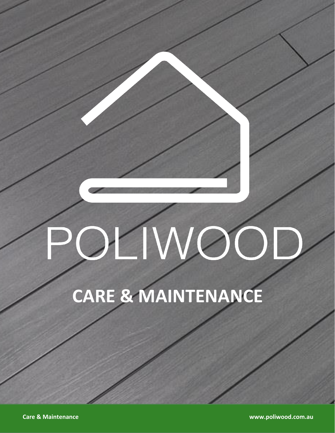# OLIWOOD

# **CARE & MAINTENANCE**

**Care & Maintenance www.poliwood.com.au**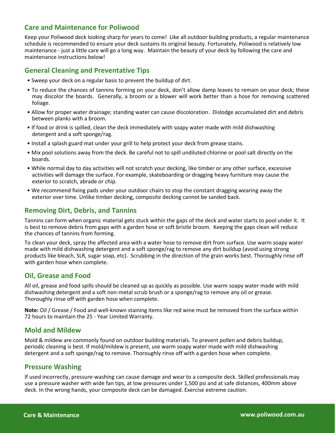# **Care and Maintenance for Poliwood**

Keep your Poliwood deck looking sharp for years to come! Like all outdoor building products, a regular maintenance schedule is recommended to ensure your deck sustains its original beauty. Fortunately, Poliwood is relatively low maintenance - just a little care will go a long way. Maintain the beauty of your deck by following the care and maintenance instructions below!

### **General Cleaning and Preventative Tips**

- Sweep your deck on a regular basis to prevent the buildup of dirt.
- To reduce the chances of tannins forming on your deck, don't allow damp leaves to remain on your deck; these may discolor the boards. Generally, a broom or a blower will work better than a hose for removing scattered foliage.
- Allow for proper water drainage; standing water can cause discoloration. Dislodge accumulated dirt and debris between planks with a broom.
- If food or drink is spilled, clean the deck immediately with soapy water made with mild dishwashing detergent and a soft sponge/rag.
- Install a splash guard mat under your grill to help protect your deck from grease stains.
- Mix pool solutions away from the deck. Be careful not to spill undiluted chlorine or pool salt directly on the boards.
- While normal day to day activities will not scratch your decking, like timber or any other surface, excessive activities will damage the surface. For example, skateboarding or dragging heavy furniture may cause the exterior to scratch, abrade or chip.
- We recommend fixing pads under your outdoor chairs to stop the constant dragging wearing away the exterior over time. Unlike timber decking, composite decking cannot be sanded back.

## **Removing Dirt, Debris, and Tannins**

Tannins can form when organic material gets stuck within the gaps of the deck and water starts to pool under it. It is best to remove debris from gaps with a garden hose or soft bristle broom. Keeping the gaps clean will reduce the chances of tannins from forming.

To clean your deck, spray the affected area with a water hose to remove dirt from surface. Use warm soapy water made with mild dishwashing detergent and a soft sponge/rag to remove any dirt buildup (avoid using strong products like bleach, SLR, sugar soap, etc). Scrubbing in the direction of the grain works best. Thoroughly rinse off with garden hose when complete.

## **Oil, Grease and Food**

All oil, grease and food spills should be cleaned up as quickly as possible. Use warm soapy water made with mild dishwashing detergent and a soft non-metal scrub brush or a sponge/rag to remove any oil or grease. Thoroughly rinse off with garden hose when complete.

**Note:** Oil / Grease / Food and well-known staining items like red wine must be removed from the surface within 72 hours to maintain the 25 - Year Limited Warranty.

## **Mold and Mildew**

Mold & mildew are commonly found on outdoor building materials. To prevent pollen and debris buildup, periodic cleaning is best. If mold/mildew is present, use warm soapy water made with mild dishwashing detergent and a soft sponge/rag to remove. Thoroughly rinse off with a garden hose when complete.

## **Pressure Washing**

If used incorrectly, pressure-washing can cause damage and wear to a composite deck. Skilled professionals may use a pressure washer with wide fan tips, at low pressures under 1,500 psi and at safe distances, 400mm above deck. In the wrong hands, your composite deck can be damaged. Exercise extreme caution.